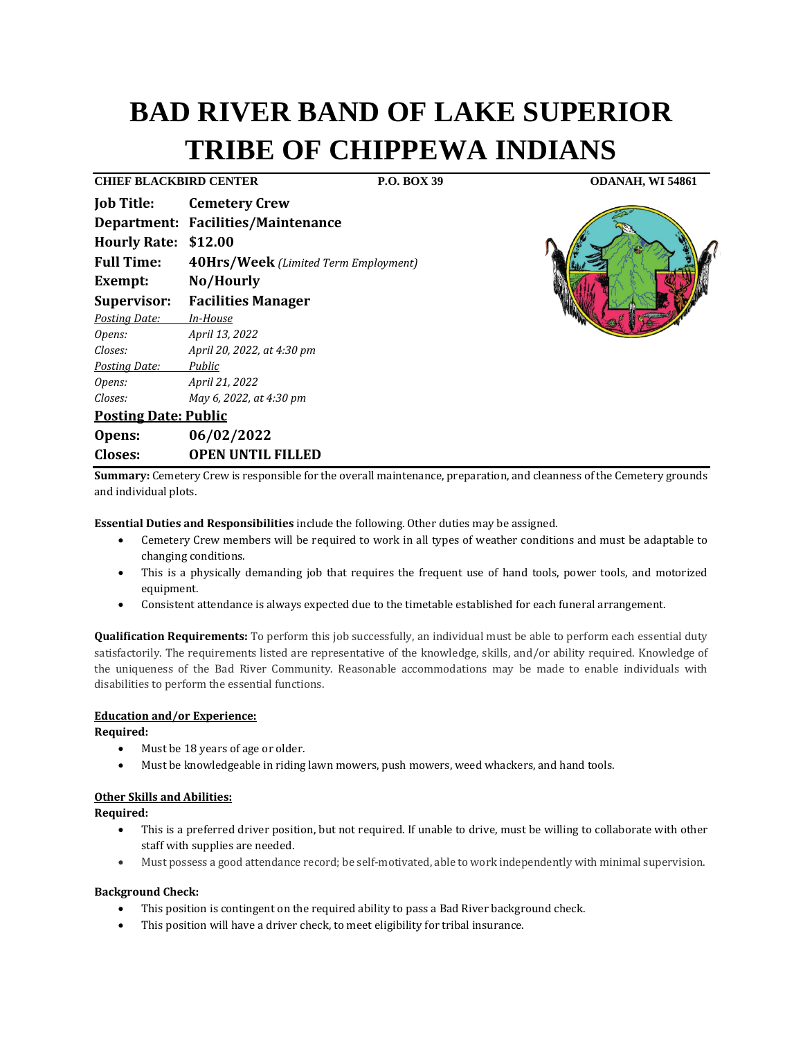# **BAD RIVER BAND OF LAKE SUPERIOR TRIBE OF CHIPPEWA INDIANS**

**CHIEF BLACKBIRD CENTER P.O. BOX 39 ODANAH, WI 54861**

| Job Title:                  | <b>Cemetery Crew</b>                 |
|-----------------------------|--------------------------------------|
|                             | Department: Facilities/Maintenance   |
| <b>Hourly Rate:</b>         | \$12.00                              |
| <b>Full Time:</b>           | 40Hrs/Week (Limited Term Employment) |
| Exempt:                     | No/Hourly                            |
| Supervisor:                 | <b>Facilities Manager</b>            |
| Posting Date:               | In-House                             |
| Opens:                      | April 13, 2022                       |
| Closes:                     | April 20, 2022, at 4:30 pm           |
| Posting Date:               | Public                               |
| Opens:                      | April 21, 2022                       |
| Closes:                     | May 6, 2022, at 4:30 pm              |
| <b>Posting Date: Public</b> |                                      |
| Opens:                      | 06/02/2022                           |
| Closes:                     | <b>OPEN UNTIL FILLED</b>             |



**Summary:** Cemetery Crew is responsible for the overall maintenance, preparation, and cleanness of the Cemetery grounds and individual plots.

**Essential Duties and Responsibilities** include the following. Other duties may be assigned.

- Cemetery Crew members will be required to work in all types of weather conditions and must be adaptable to changing conditions.
- This is a physically demanding job that requires the frequent use of hand tools, power tools, and motorized equipment.
- Consistent attendance is always expected due to the timetable established for each funeral arrangement.

**Qualification Requirements:** To perform this job successfully, an individual must be able to perform each essential duty satisfactorily. The requirements listed are representative of the knowledge, skills, and/or ability required. Knowledge of the uniqueness of the Bad River Community. Reasonable accommodations may be made to enable individuals with disabilities to perform the essential functions.

# **Education and/or Experience:**

## **Required:**

- Must be 18 years of age or older.
- Must be knowledgeable in riding lawn mowers, push mowers, weed whackers, and hand tools.

# **Other Skills and Abilities:**

**Required:**

- This is a preferred driver position, but not required. If unable to drive, must be willing to collaborate with other staff with supplies are needed.
- Must possess a good attendance record; be self-motivated, able to work independently with minimal supervision.

## **Background Check:**

- This position is contingent on the required ability to pass a Bad River background check.
- This position will have a driver check, to meet eligibility for tribal insurance.